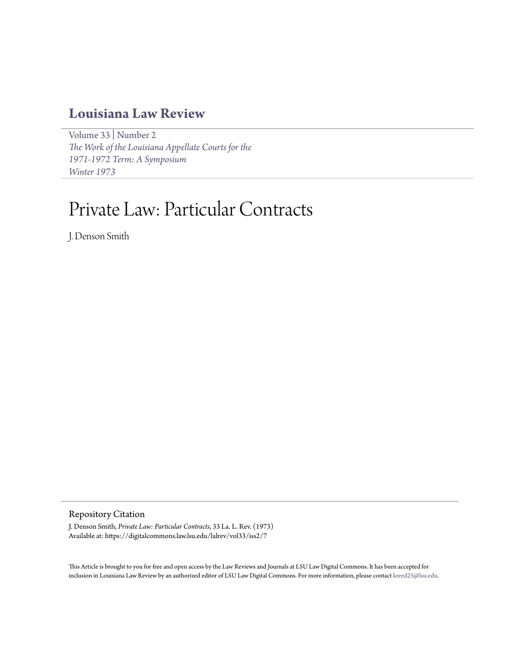# **[Louisiana Law Review](https://digitalcommons.law.lsu.edu/lalrev)**

[Volume 33](https://digitalcommons.law.lsu.edu/lalrev/vol33) | [Number 2](https://digitalcommons.law.lsu.edu/lalrev/vol33/iss2) *[The Work of the Louisiana Appellate Courts for the](https://digitalcommons.law.lsu.edu/lalrev/vol33/iss2) [1971-1972 Term: A Symposium](https://digitalcommons.law.lsu.edu/lalrev/vol33/iss2) [Winter 1973](https://digitalcommons.law.lsu.edu/lalrev/vol33/iss2)*

# Private Law: Particular Contracts

J. Denson Smith

## Repository Citation

J. Denson Smith, *Private Law: Particular Contracts*, 33 La. L. Rev. (1973) Available at: https://digitalcommons.law.lsu.edu/lalrev/vol33/iss2/7

This Article is brought to you for free and open access by the Law Reviews and Journals at LSU Law Digital Commons. It has been accepted for inclusion in Louisiana Law Review by an authorized editor of LSU Law Digital Commons. For more information, please contact [kreed25@lsu.edu](mailto:kreed25@lsu.edu).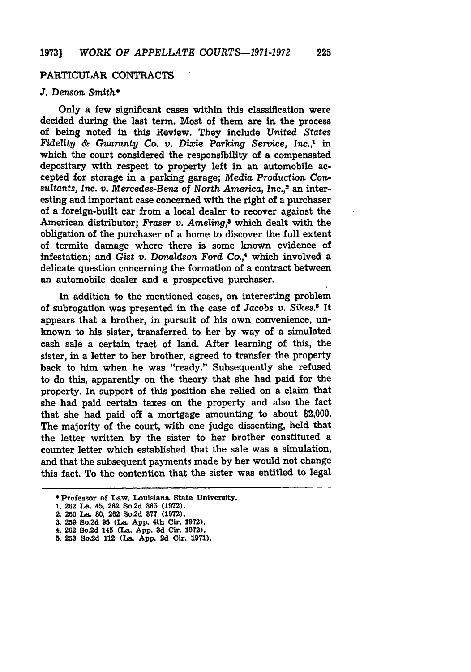### PARTICULAR **CONTRACTS**

### *J.* Denson *Smith\**

Only a few significant cases within this classification were decided during the last term. Most of them are in the process of being noted in this Review. They include *United States Fidelity & Guaranty Co. v. Dixie Parking Service,* Inc.,' in which the court considered the responsibility of a compensated depositary with respect to property left in an automobile accepted for storage in a parking garage; *Media* Production *Con*sultants, Inc. v. Mercedes-Benz of North America, Inc.,<sup>2</sup> an interesting and important case concerned with the right of a purchaser of a foreign-built car from a local dealer to recover against the American distributor; Fraser *v. Ameling*,<sup>8</sup> which dealt with the obligation of the purchaser of a home to discover the full extent of termite damage where there is some known evidence of infestation; and Gist *v.* Donaldson Ford Co.,<sup>4</sup> which involved a delicate question concerning the formation of a contract between an automobile dealer and a prospective purchaser.

In addition to the mentioned cases, an interesting problem of subrogation was presented in the case of Jacobs *v. Sikes.5* It appears that a brother, in pursuit of his own convenience, unknown to his sister, transferred to her by way of a simulated cash sale a certain tract of land. After learning of this, the sister, in a letter to her brother, agreed to transfer the property back to him when he was "ready." Subsequently she refused to do this, apparently on the theory that she had paid for the property. In support of this position she relied on a claim that she had paid certain taxes on the property and also the fact that she had paid off a mortgage amounting to about \$2,000. The majority of the court, with one judge dissenting, held that the letter written by the sister to her brother constituted a counter letter which established that the sale was a simulation, and that the subsequent payments made by her would not change this fact. To the contention that the sister was entitled to legal

**<sup>\*</sup>** Professor of Law, Louisiana State University.

**<sup>1. 262</sup>** La. 45, **262** So.2d **365 (1972).**

<sup>2.</sup> **260** La. **80,** 262 So.2d **877 (1972).**

**<sup>3. 259</sup>** So.2d **95** (La. **App.** 4th Cir. **1972).**

<sup>4. 262</sup> So.2d 145 (La. **App. 3d** Cir. **1972).**

**<sup>5. 253</sup>** So.2d 112 (La. **App. 2d** Cir. 1971).